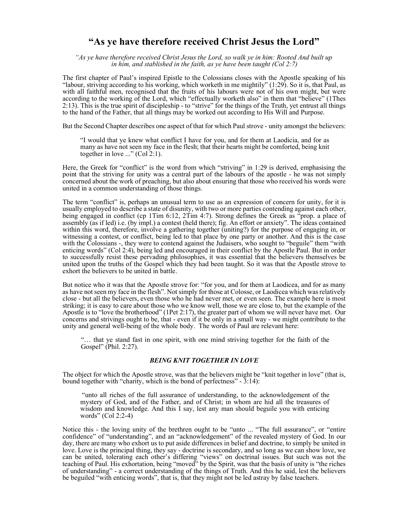# "As ye have therefore received Christ Jesus the Lord"

"As ye have therefore received Christ Jesus the Lord, so walk ye in him: Rooted And built up in him, and stablished in the faith, as ye have been taught (Col 2:7)

The first chapter of Paul's inspired Epistle to the Colossians closes with the Apostle speaking of his "labour, striving according to his working, which worketh in me mightily" (1:29). So it is, that Paul, as with all faithful men, recognised that the fruits of his labours were not of his own might, but were according to the working of the Lord, which "effectually worketh also" in them that "believe" (1Thes 2:13). This is the true spirit of discipleship - to "strive" for the things of the Truth, yet entrust all things to the hand of the Father, that all things may be worked out according to His Will and Purpose.

But the Second Chapter describes one aspect of that for which Paul strove - unity amongst the believers:

"I would that ye knew what conflict I have for you, and for them at Laodicia, and for as many as have not seen my face in the flesh; that their hearts might be comforted, being knit together in love ..." (Col 2:1).

Here, the Greek for "conflict" is the word from which "striving" in 1:29 is derived, emphasising the point that the striving for unity was a central part of the labours of the apostle - he was not simply concerned about the work of preaching, but also about ensuring that those who received his words were united in a common understanding of those things.

The term "conflict" is, perhaps an unusual term to use as an expression of concern for unity, for it is usually employed to describe a state of disunity, with two or more parties contending against each other, being engaged in conflict (cp 1Tim 6:12, 2Tim 4:7). Strong defines the Greek as "prop. a place of assembly (as if led) i.e. (by impl.) a contest (held there); fig. An effort or anxiety". The ideas contained within this word, therefore, involve a gathering together (uniting?) for the purpose of engaging in, or witnessing a contest, or conflict, being led to that place by one party or another. And this is the case with the Colossians -, they were to contend against the Judaisers, who sought to "beguile" them "with enticing words" (Col 2:4), being led and encouraged in their conflict by the Apostle Paul. But in order to successfully resist these pervading philosophies, it was essential that the believers themselves be united upon the truths of the Gospel which they had been taught. So it was that the Apostle strove to exhort the believers to be united in battle.

But notice who it was that the Apostle strove for: "for you, and for them at Laodicea, and for as many as have not seen my face in the flesh". Not simply for those at Colosse, or Laodicea which was relatively close - but all the believers, even those who he had never met, or even seen. The example here is most striking; it is easy to care about those who we know well, those we are close to, but the example of the Apostle is to "love the brotherhood" (1Pet 2:17), the greater part of whom we will never have met. Our concerns and strivings ought to be, that - even if it be only in a small way - we might contribute to the unity and general well-being of the whole body. The words of Paul are relevant here:

"… that ye stand fast in one spirit, with one mind striving together for the faith of the Gospel" (Phil. 2:27).

## BEING KNIT TOGETHER IN LOVE

The object for which the Apostle strove, was that the believers might be "knit together in love" (that is, bound together with "charity, which is the bond of perfectness"  $-3:14$ ):

 "unto all riches of the full assurance of understanding, to the acknowledgement of the mystery of God, and of the Father, and of Christ; in whom are hid all the treasures of wisdom and knowledge. And this I say, lest any man should beguile you with enticing words" (Col 2:2-4)

Notice this - the loving unity of the brethren ought to be "unto ... "The full assurance", or "entire confidence" of "understanding", and an "acknowledgement" of the revealed mystery of God. In our day, there are many who exhort us to put aside differences in belief and doctrine, to simply be united in love. Love is the principal thing, they say - doctrine is secondary, and so long as we can show love, we can be united, tolerating each other's differing "views" on doctrinal issues. But such was not the teaching of Paul. His exhortation, being "moved" by the Spirit, was that the basis of unity is "the riches of understanding" - a correct understanding of the things of Truth. And this he said, lest the believers be beguiled "with enticing words", that is, that they might not be led astray by false teachers.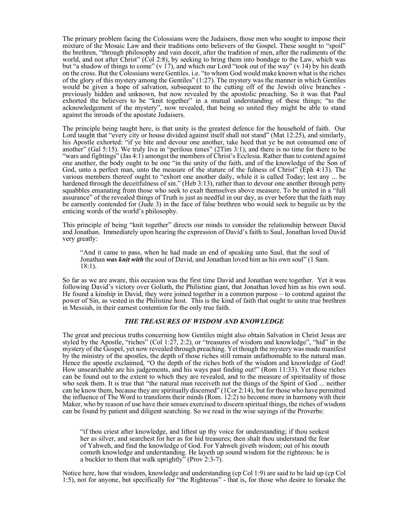The primary problem facing the Colossians were the Judaisers, those men who sought to impose their mixture of the Mosaic Law and their traditions onto believers of the Gospel. These sought to "spoil" the brethren, "through philosophy and vain deceit, after the tradition of men, after the rudiments of the world, and not after Christ" (Col 2:8), by seeking to bring them into bondage to the Law, which was but "a shadow of things to come" (v 17), and which our Lord "took out of the way" (v 14) by his death on the cross. But the Colossians were Gentiles. i.e. "to whom God would make known what is the riches of the glory of this mystery among the Gentiles" (1:27). The mystery was the manner in which Gentiles would be given a hope of salvation, subsequent to the cutting off of the Jewish olive branches previously hidden and unknown, but now revealed by the apostolic preaching. So it was that Paul exhorted the believers to be "knit together" in a mutual understanding of these things; "to the acknowledgement of the mystery", now revealed, that being so united they might be able to stand against the inroads of the apostate Judaisers.

The principle being taught here, is that unity is the greatest defence for the household of faith. Our Lord taught that "every city or house divided against itself shall not stand" (Mat 12:25), and similarly, his Apostle exhorted: "if ye bite and devour one another, take heed that ye be not consumed one of another" (Gal 5:15). We truly live in "perilous times" (2Tim 3:1), and there is no time for there to be "wars and fightings" (Jas 4:1) amongst the members of Christ's Ecclesia. Rather than to contend against one another, the body ought to be one "in the unity of the faith, and of the knowledge of the Son of God, unto a perfect man, unto the measure of the stature of the fulness of Christ" (Eph 4:13). The various members thereof ought to "exhort one another daily, while it is called Today; lest any ... be hardened through the deceitfulness of sin." (Heb 3:13), rather than to devour one another through petty squabbles emanating from those who seek to exalt themselves above measure. To be united in a "full assurance" of the revealed things of Truth is just as needful in our day, as ever before that the faith may be earnestly contended for (Jude 3) in the face of false brethren who would seek to beguile us by the enticing words of the world's philosophy.

This principle of being "knit together" directs our minds to consider the relationship between David and Jonathan. Immediately upon hearing the expression of David's faith to Saul, Jonathan loved David very greatly:

"And it came to pass, when he had made an end of speaking unto Saul, that the soul of Jonathan was knit with the soul of David, and Jonathan loved him as his own soul" (1 Sam. 18:1).

So far as we are aware, this occasion was the first time David and Jonathan were together. Yet it was following David's victory over Goliath, the Philistine giant, that Jonathan loved him as his own soul. He found a kinship in David, they were joined together in a common purpose – to contend against the power of Sin, as vested in the Philistine host. This is the kind of faith that ought to unite true brethren in Messiah, in their earnest contention for the only true faith.

### THE TREASURES OF WISDOM AND KNOWLEDGE

The great and precious truths concerning how Gentiles might also obtain Salvation in Christ Jesus are styled by the Apostle, "riches" (Col 1:27, 2:2), or "treasures of wisdom and knowledge", "hid" in the mystery of the Gospel, yet now revealed through preaching. Yet though the mystery was made manifest by the ministry of the apostles, the depth of those riches still remain unfathomable to the natural man. Hence the apostle exclaimed, "O the depth of the riches both of the wisdom and knowledge of God! How unsearchable are his judgements, and his ways past finding out!" (Rom 11:33). Yet those riches can be found out to the extent to which they are revealed, and to the measure of spirituality of those who seek them. It is true that "the natural man receiveth not the things of the Spirit of God ... neither can he know them, because they are spiritually discerned" (1Cor 2:14), but for those who have permitted the influence of The Word to transform their minds (Rom. 12:2) to become more in harmony with their Maker, who by reason of use have their senses exercised to discern spiritual things, the riches of wisdom can be found by patient and diligent searching. So we read in the wise sayings of the Proverbs:

"if thou criest after knowledge, and liftest up thy voice for understanding; if thou seekest her as silver, and searchest for her as for hid treasures; then shalt thou understand the fear of Yahweh, and find the knowledge of God. For Yahweh giveth wisdom; out of his mouth cometh knowledge and understanding. He layeth up sound wisdom for the righteous: he is a buckler to them that walk uprightly" (Prov 2:3-7).

Notice here, how that wisdom, knowledge and understanding (cp Col 1:9) are said to be laid up (cp Col 1:5), not for anyone, but specifically for "the Righteous" - that is, for those who desire to forsake the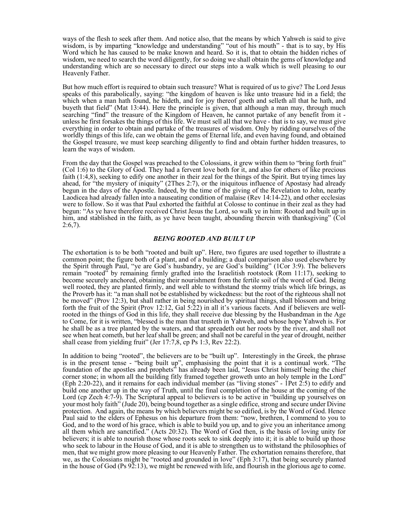ways of the flesh to seek after them. And notice also, that the means by which Yahweh is said to give wisdom, is by imparting "knowledge and understanding" "out of his mouth" - that is to say, by His Word which he has caused to be make known and heard. So it is, that to obtain the hidden riches of wisdom, we need to search the word diligently, for so doing we shall obtain the gems of knowledge and understanding which are so necessary to direct our steps into a walk which is well pleasing to our Heavenly Father.

But how much effort is required to obtain such treasure? What is required of us to give? The Lord Jesus speaks of this parabolically, saying: "the kingdom of heaven is like unto treasure hid in a field; the which when a man hath found, he hideth, and for joy thereof goeth and selleth all that he hath, and buyeth that field" (Mat 13:44). Here the principle is given, that although a man may, through much searching "find" the treasure of the Kingdom of Heaven, he cannot partake of any benefit from it unless he first forsakes the things of this life. We must sell all that we have - that is to say, we must give everything in order to obtain and partake of the treasures of wisdom. Only by ridding ourselves of the worldly things of this life, can we obtain the gems of Eternal life, and even having found, and obtained the Gospel treasure, we must keep searching diligently to find and obtain further hidden treasures, to learn the ways of wisdom.

From the day that the Gospel was preached to the Colossians, it grew within them to "bring forth fruit" (Col 1:6) to the Glory of God. They had a fervent love both for it, and also for others of like precious faith (1:4,8), seeking to edify one another in their zeal for the things of the Spirit. But trying times lay ahead, for "the mystery of iniquity" (2Thes 2:7), or the iniquitous influence of Apostasy had already begun in the days of the Apostle. Indeed, by the time of the giving of the Revelation to John, nearby Laodicea had already fallen into a nauseating condition of malaise (Rev 14:14-22), and other ecclesias were to follow. So it was that Paul exhorted the faithful at Colosse to continue in their zeal as they had begun: "As ye have therefore received Christ Jesus the Lord, so walk ye in him: Rooted and built up in him, and stablished in the faith, as ye have been taught, abounding therein with thanksgiving" (Col  $2:6,7$ ).

#### BEING ROOTED AND BUILT UP

The exhortation is to be both "rooted and built up". Here, two figures are used together to illustrate a common point; the figure both of a plant, and of a building; a dual comparison also used elsewhere by the Spirit through Paul, "ye are God's husbandry, ye are God's building" (1Cor 3:9). The believers remain "rooted" by remaining firmly grafted into the Israelitish rootstock (Rom 11:17), seeking to become securely anchored, obtaining their nourishment from the fertile soil of the word of God. Being well rooted, they are planted firmly, and well able to withstand the stormy trials which life brings, as the Proverb has it: "a man shall not be established by wickedness: but the root of the righteous shall not be moved" (Prov 12:3), but shall rather in being nourished by spiritual things, shall blossom and bring forth the fruit of the Spirit (Prov 12:12, Gal 5:22) in all it's various facets. And if believers are wellrooted in the things of God in this life, they shall receive due blessing by the Husbandman in the Age to Come, for it is written, "blessed is the man that trusteth in Yahweh, and whose hope Yahweh is. For he shall be as a tree planted by the waters, and that spreadeth out her roots by the river, and shall not see when heat cometh, but her leaf shall be green; and shall not be careful in the year of drought, neither shall cease from yielding fruit" (Jer 17:7,8, cp Ps 1:3, Rev 22:2).

In addition to being "rooted", the believers are to be "built up". Interestingly in the Greek, the phrase is in the present tense - "being built up", emphasising the point that it is a continual work. "The foundation of the apostles and prophets" has already been laid, "Jesus Christ himself being the chief corner stone; in whom all the building fitly framed together groweth unto an holy temple in the Lord" (Eph 2:20-22), and it remains for each individual member (as "living stones" - 1Pet 2:5) to edify and build one another up in the way of Truth, until the final completion of the house at the coming of the Lord (cp Zech 4:7-9). The Scriptural appeal to believers is to be active in "building up yourselves on your most holy faith" (Jude 20), being bound together as a single edifice, strong and secure under Divine protection. And again, the means by which believers might be so edified, is by the Word of God. Hence Paul said to the elders of Ephesus on his departure from them: "now, brethren, I commend to you to God, and to the word of his grace, which is able to build you up, and to give you an inheritance among all them which are sanctified." (Acts 20:32). The Word of God then, is the basis of loving unity for believers; it is able to nourish those whose roots seek to sink deeply into it; it is able to build up those who seek to labour in the House of God, and it is able to strengthen us to withstand the philosophies of men, that we might grow more pleasing to our Heavenly Father. The exhortation remains therefore, that we, as the Colossians might be "rooted and grounded in love" (Eph 3:17), that being securely planted in the house of God (Ps 92:13), we might be renewed with life, and flourish in the glorious age to come.